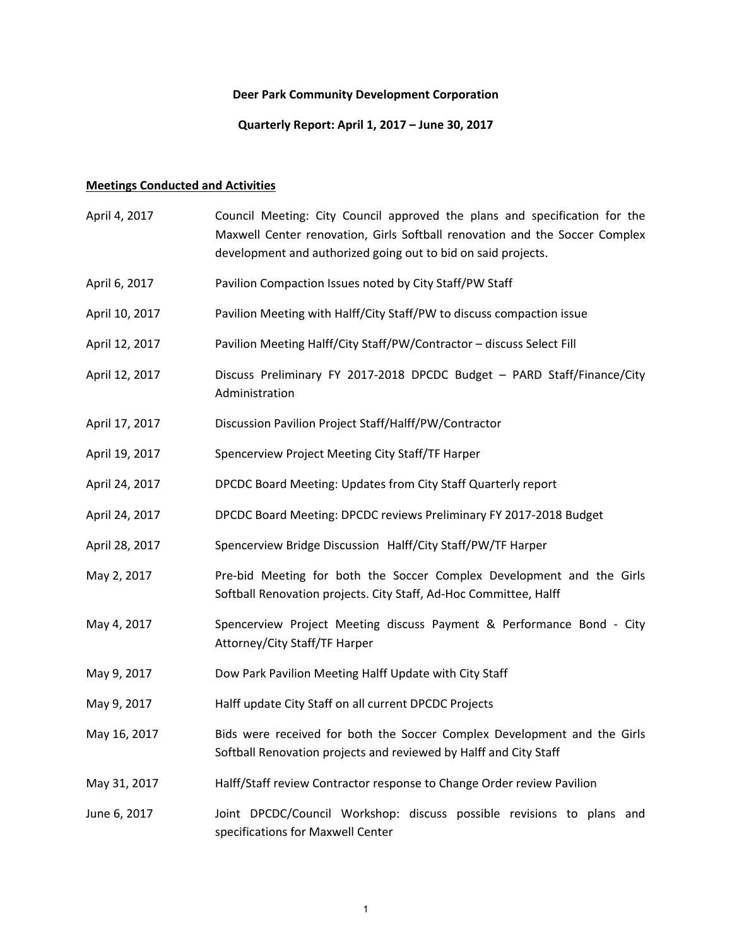# **Deer Park Community Development Corporation**

# **Quarterly Report: April 1, 2017 – June 30, 2017**

# **Meetings Conducted and Activities**

| April 4, 2017  | Council Meeting: City Council approved the plans and specification for the<br>Maxwell Center renovation, Girls Softball renovation and the Soccer Complex<br>development and authorized going out to bid on said projects. |
|----------------|----------------------------------------------------------------------------------------------------------------------------------------------------------------------------------------------------------------------------|
| April 6, 2017  | Pavilion Compaction Issues noted by City Staff/PW Staff                                                                                                                                                                    |
| April 10, 2017 | Pavilion Meeting with Halff/City Staff/PW to discuss compaction issue                                                                                                                                                      |
| April 12, 2017 | Pavilion Meeting Halff/City Staff/PW/Contractor - discuss Select Fill                                                                                                                                                      |
| April 12, 2017 | Discuss Preliminary FY 2017-2018 DPCDC Budget - PARD Staff/Finance/City<br>Administration                                                                                                                                  |
| April 17, 2017 | Discussion Pavilion Project Staff/Halff/PW/Contractor                                                                                                                                                                      |
| April 19, 2017 | Spencerview Project Meeting City Staff/TF Harper                                                                                                                                                                           |
| April 24, 2017 | DPCDC Board Meeting: Updates from City Staff Quarterly report                                                                                                                                                              |
| April 24, 2017 | DPCDC Board Meeting: DPCDC reviews Preliminary FY 2017-2018 Budget                                                                                                                                                         |
| April 28, 2017 | Spencerview Bridge Discussion Halff/City Staff/PW/TF Harper                                                                                                                                                                |
| May 2, 2017    | Pre-bid Meeting for both the Soccer Complex Development and the Girls<br>Softball Renovation projects. City Staff, Ad-Hoc Committee, Halff                                                                                 |
| May 4, 2017    | Spencerview Project Meeting discuss Payment & Performance Bond - City<br>Attorney/City Staff/TF Harper                                                                                                                     |
| May 9, 2017    | Dow Park Pavilion Meeting Halff Update with City Staff                                                                                                                                                                     |
| May 9, 2017    | Halff update City Staff on all current DPCDC Projects                                                                                                                                                                      |
| May 16, 2017   | Bids were received for both the Soccer Complex Development and the Girls<br>Softball Renovation projects and reviewed by Halff and City Staff                                                                              |
| May 31, 2017   | Halff/Staff review Contractor response to Change Order review Pavilion                                                                                                                                                     |
| June 6, 2017   | Joint DPCDC/Council Workshop: discuss possible revisions to plans and<br>specifications for Maxwell Center                                                                                                                 |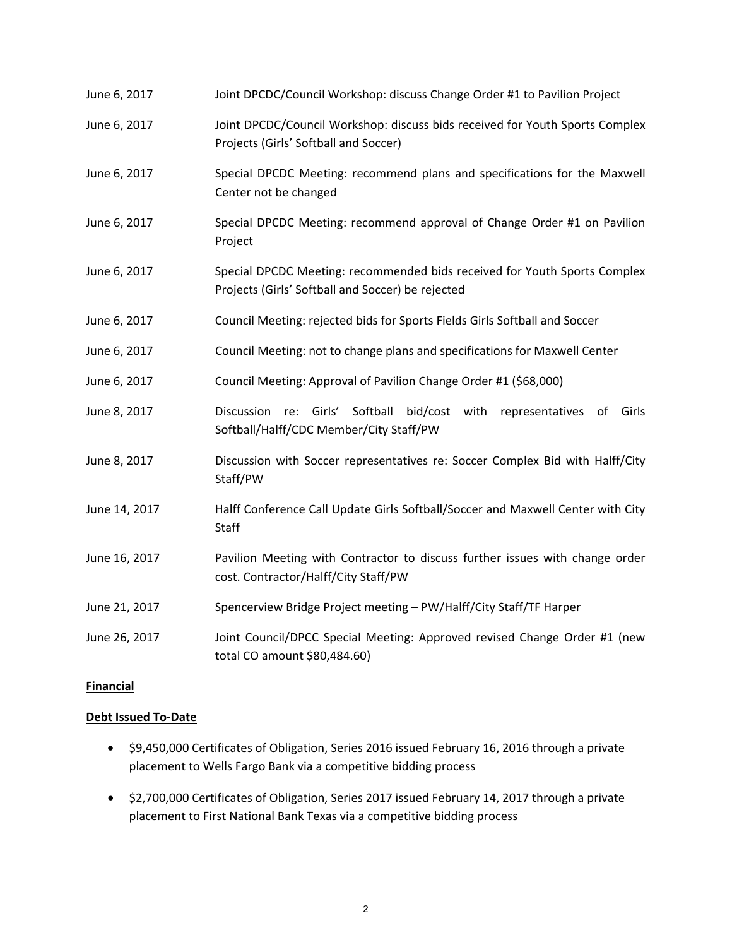| June 6, 2017  | Joint DPCDC/Council Workshop: discuss Change Order #1 to Pavilion Project                                                      |
|---------------|--------------------------------------------------------------------------------------------------------------------------------|
| June 6, 2017  | Joint DPCDC/Council Workshop: discuss bids received for Youth Sports Complex<br>Projects (Girls' Softball and Soccer)          |
| June 6, 2017  | Special DPCDC Meeting: recommend plans and specifications for the Maxwell<br>Center not be changed                             |
| June 6, 2017  | Special DPCDC Meeting: recommend approval of Change Order #1 on Pavilion<br>Project                                            |
| June 6, 2017  | Special DPCDC Meeting: recommended bids received for Youth Sports Complex<br>Projects (Girls' Softball and Soccer) be rejected |
| June 6, 2017  | Council Meeting: rejected bids for Sports Fields Girls Softball and Soccer                                                     |
| June 6, 2017  | Council Meeting: not to change plans and specifications for Maxwell Center                                                     |
| June 6, 2017  | Council Meeting: Approval of Pavilion Change Order #1 (\$68,000)                                                               |
| June 8, 2017  | Softball<br>Discussion<br>re: Girls'<br>bid/cost with representatives of<br>Girls<br>Softball/Halff/CDC Member/City Staff/PW   |
| June 8, 2017  | Discussion with Soccer representatives re: Soccer Complex Bid with Halff/City<br>Staff/PW                                      |
| June 14, 2017 | Halff Conference Call Update Girls Softball/Soccer and Maxwell Center with City<br><b>Staff</b>                                |
| June 16, 2017 | Pavilion Meeting with Contractor to discuss further issues with change order<br>cost. Contractor/Halff/City Staff/PW           |
| June 21, 2017 | Spencerview Bridge Project meeting - PW/Halff/City Staff/TF Harper                                                             |
| June 26, 2017 | Joint Council/DPCC Special Meeting: Approved revised Change Order #1 (new<br>total CO amount \$80,484.60)                      |

# **Financial**

# **Debt Issued To‐Date**

- \$9,450,000 Certificates of Obligation, Series 2016 issued February 16, 2016 through a private placement to Wells Fargo Bank via a competitive bidding process
- $\bullet$  \$2,700,000 Certificates of Obligation, Series 2017 issued February 14, 2017 through a private placement to First National Bank Texas via a competitive bidding process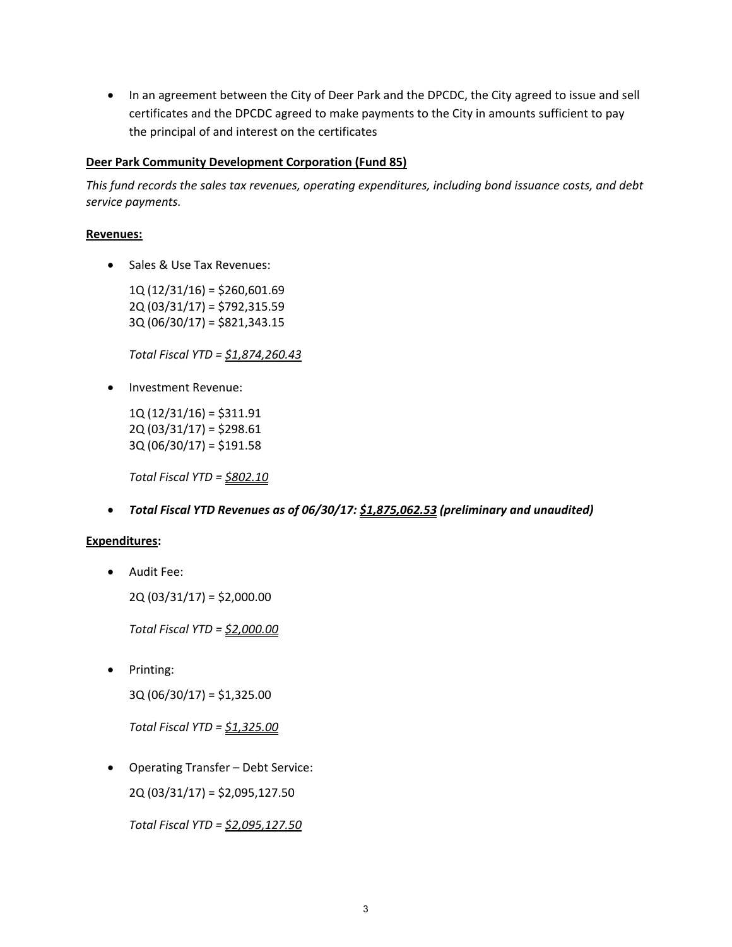• In an agreement between the City of Deer Park and the DPCDC, the City agreed to issue and sell certificates and the DPCDC agreed to make payments to the City in amounts sufficient to pay the principal of and interest on the certificates

#### **Deer Park Community Development Corporation (Fund 85)**

*This fund records the sales tax revenues, operating expenditures, including bond issuance costs, and debt service payments.*

#### **Revenues:**

• Sales & Use Tax Revenues:

 $1Q(12/31/16) = $260,601.69$ 2Q (03/31/17) = \$792,315.59 3Q (06/30/17) = \$821,343.15

*Total Fiscal YTD = \$1,874,260.43*

• Investment Revenue:

1Q (12/31/16) = \$311.91  $2Q(03/31/17) = $298.61$  $3Q(06/30/17) = $191.58$ 

*Total Fiscal YTD = \$802.10*

*Total Fiscal YTD Revenues as of 06/30/17: \$1,875,062.53 (preliminary and unaudited)*

## **Expenditures:**

Audit Fee:

2Q (03/31/17) = \$2,000.00

*Total Fiscal YTD = \$2,000.00*

• Printing:

3Q (06/30/17) = \$1,325.00

*Total Fiscal YTD = \$1,325.00*

Operating Transfer – Debt Service:

2Q (03/31/17) = \$2,095,127.50

*Total Fiscal YTD = \$2,095,127.50*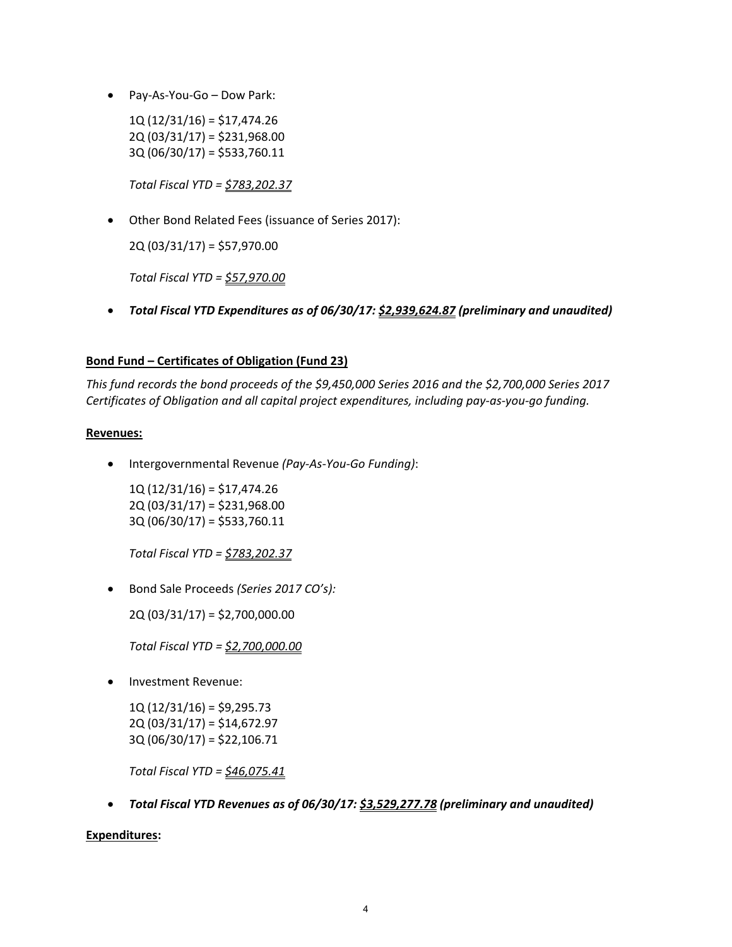Pay‐As‐You‐Go – Dow Park:

 $1Q(12/31/16) = $17,474.26$ 2Q (03/31/17) = \$231,968.00 3Q (06/30/17) = \$533,760.11

*Total Fiscal YTD = \$783,202.37*

Other Bond Related Fees (issuance of Series 2017):

2Q (03/31/17) = \$57,970.00

*Total Fiscal YTD = \$57,970.00*

*Total Fiscal YTD Expenditures as of 06/30/17: \$2,939,624.87 (preliminary and unaudited)*

# **Bond Fund – Certificates of Obligation (Fund 23)**

*This fund records the bond proceeds of the \$9,450,000 Series 2016 and the \$2,700,000 Series 2017 Certificates of Obligation and all capital project expenditures, including pay‐as‐you‐go funding.*

## **Revenues:**

Intergovernmental Revenue *(Pay‐As‐You‐Go Funding)*:

 1Q (12/31/16) = \$17,474.26 2Q (03/31/17) = \$231,968.00 3Q (06/30/17) = \$533,760.11

*Total Fiscal YTD = \$783,202.37*

Bond Sale Proceeds *(Series 2017 CO's):*

2Q (03/31/17) = \$2,700,000.00

*Total Fiscal YTD = \$2,700,000.00*

Investment Revenue:

1Q (12/31/16) = \$9,295.73 2Q (03/31/17) = \$14,672.97 3Q (06/30/17) = \$22,106.71

*Total Fiscal YTD = \$46,075.41*

*Total Fiscal YTD Revenues as of 06/30/17: \$3,529,277.78 (preliminary and unaudited)*

## **Expenditures:**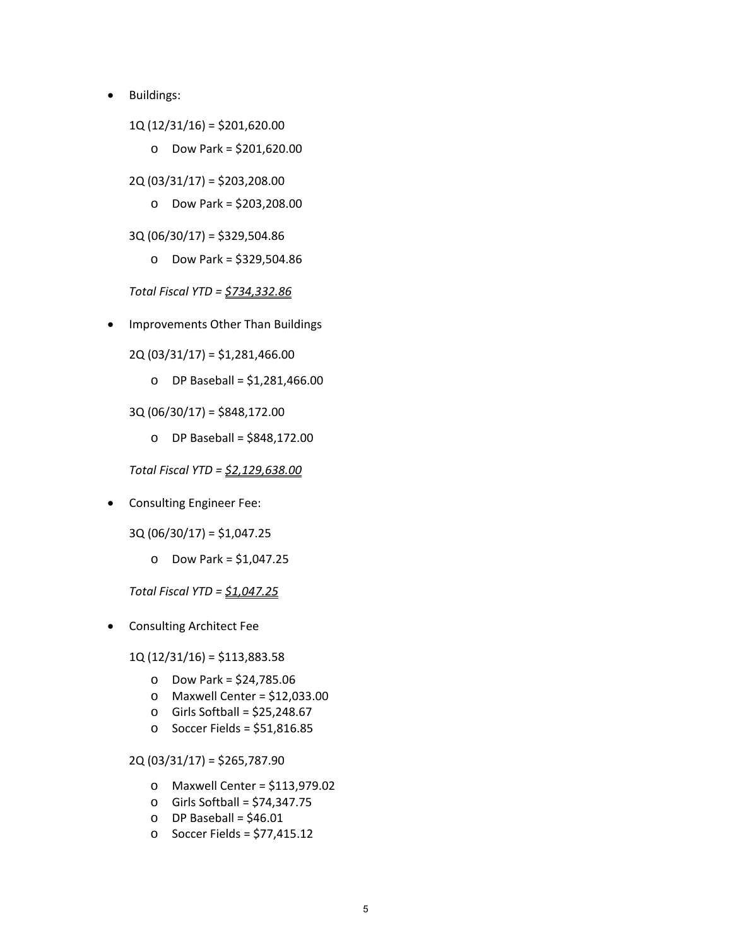- Buildings:
	- 1Q (12/31/16) = \$201,620.00
		- o Dow Park = \$201,620.00
	- 2Q (03/31/17) = \$203,208.00
		- o Dow Park = \$203,208.00
	- 3Q (06/30/17) = \$329,504.86
		- o Dow Park = \$329,504.86

*Total Fiscal YTD = \$734,332.86*

Improvements Other Than Buildings

2Q (03/31/17) = \$1,281,466.00

o DP Baseball = \$1,281,466.00

3Q (06/30/17) = \$848,172.00

o DP Baseball = \$848,172.00

*Total Fiscal YTD = \$2,129,638.00*

**•** Consulting Engineer Fee:

3Q (06/30/17) = \$1,047.25

o Dow Park = \$1,047.25

*Total Fiscal YTD = \$1,047.25*

Consulting Architect Fee

1Q (12/31/16) = \$113,883.58

- o Dow Park = \$24,785.06
- o Maxwell Center = \$12,033.00
- o Girls Softball = \$25,248.67
- o Soccer Fields = \$51,816.85

2Q (03/31/17) = \$265,787.90

- o Maxwell Center = \$113,979.02
- o Girls Softball = \$74,347.75
- $O$  DP Baseball = \$46.01
- o Soccer Fields = \$77,415.12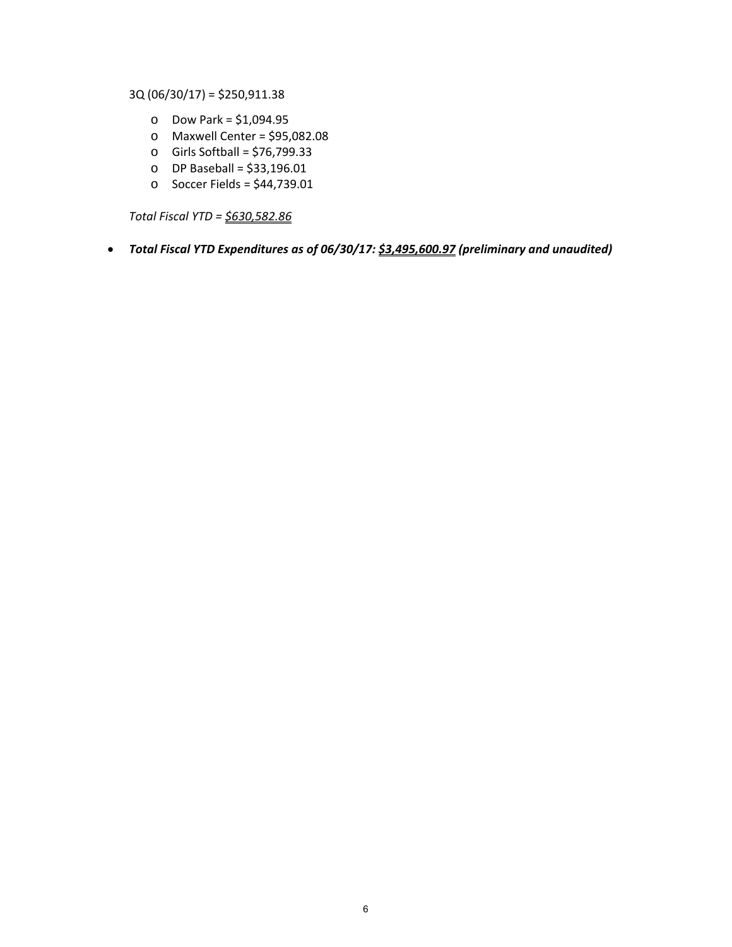3Q (06/30/17) = \$250,911.38

- o Dow Park = \$1,094.95
- o Maxwell Center = \$95,082.08
- o Girls Softball = \$76,799.33
- o DP Baseball = \$33,196.01
- o Soccer Fields = \$44,739.01

*Total Fiscal YTD = \$630,582.86*

# *Total Fiscal YTD Expenditures as of 06/30/17: \$3,495,600.97 (preliminary and unaudited)*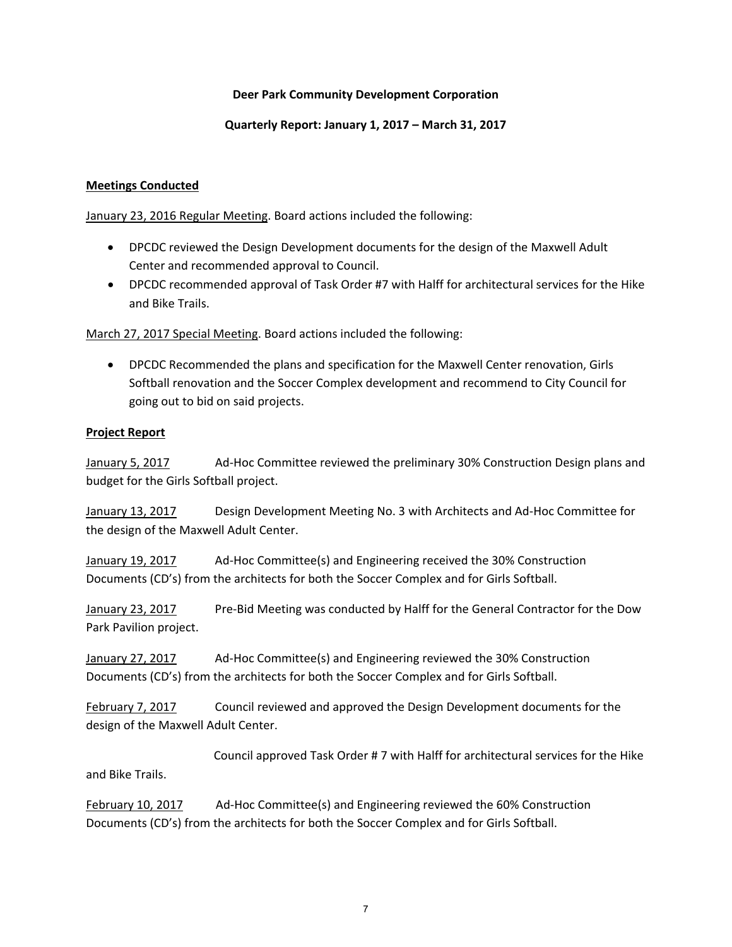## **Deer Park Community Development Corporation**

#### **Quarterly Report: January 1, 2017 – March 31, 2017**

#### **Meetings Conducted**

January 23, 2016 Regular Meeting. Board actions included the following:

- DPCDC reviewed the Design Development documents for the design of the Maxwell Adult Center and recommended approval to Council.
- DPCDC recommended approval of Task Order #7 with Halff for architectural services for the Hike and Bike Trails.

March 27, 2017 Special Meeting. Board actions included the following:

 DPCDC Recommended the plans and specification for the Maxwell Center renovation, Girls Softball renovation and the Soccer Complex development and recommend to City Council for going out to bid on said projects.

#### **Project Report**

January 5, 2017 Ad‐Hoc Committee reviewed the preliminary 30% Construction Design plans and budget for the Girls Softball project.

January 13, 2017 Design Development Meeting No. 3 with Architects and Ad-Hoc Committee for the design of the Maxwell Adult Center.

January 19, 2017 Ad‐Hoc Committee(s) and Engineering received the 30% Construction Documents (CD's) from the architects for both the Soccer Complex and for Girls Softball.

January 23, 2017 Pre‐Bid Meeting was conducted by Halff for the General Contractor for the Dow Park Pavilion project.

January 27, 2017 Ad‐Hoc Committee(s) and Engineering reviewed the 30% Construction Documents (CD's) from the architects for both the Soccer Complex and for Girls Softball.

February 7, 2017 Council reviewed and approved the Design Development documents for the design of the Maxwell Adult Center.

 Council approved Task Order # 7 with Halff for architectural services for the Hike and Bike Trails.

February 10, 2017 Ad‐Hoc Committee(s) and Engineering reviewed the 60% Construction Documents (CD's) from the architects for both the Soccer Complex and for Girls Softball.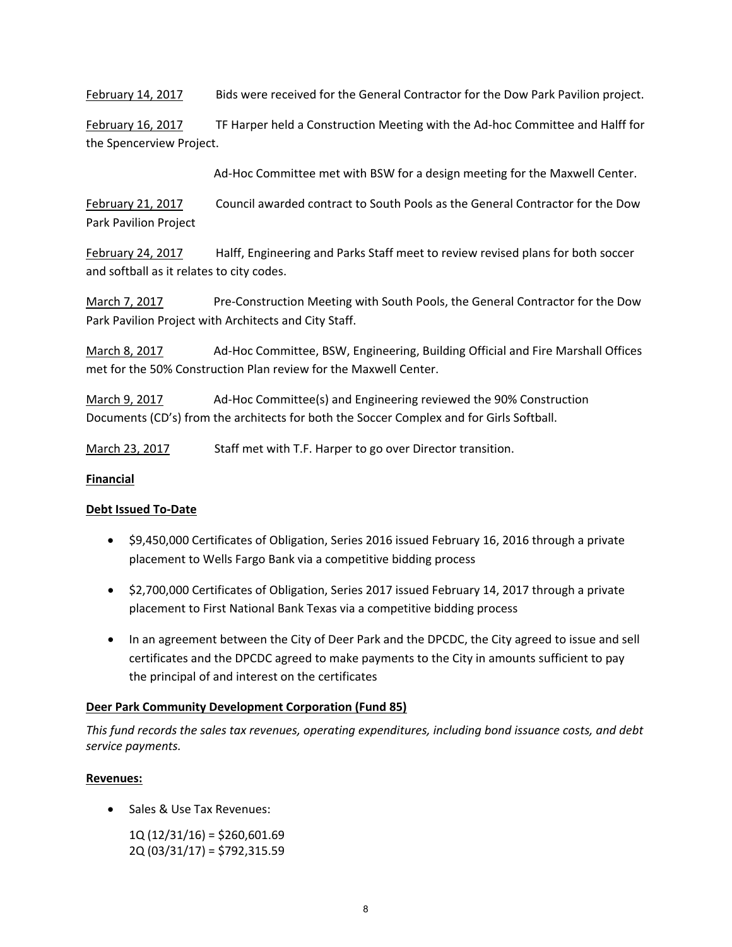February 14, 2017 Bids were received for the General Contractor for the Dow Park Pavilion project.

February 16, 2017 TF Harper held a Construction Meeting with the Ad-hoc Committee and Halff for the Spencerview Project.

Ad‐Hoc Committee met with BSW for a design meeting for the Maxwell Center.

February 21, 2017 Council awarded contract to South Pools as the General Contractor for the Dow Park Pavilion Project

February 24, 2017 Halff, Engineering and Parks Staff meet to review revised plans for both soccer and softball as it relates to city codes.

March 7, 2017 **Bre**-Construction Meeting with South Pools, the General Contractor for the Dow Park Pavilion Project with Architects and City Staff.

March 8, 2017 Ad‐Hoc Committee, BSW, Engineering, Building Official and Fire Marshall Offices met for the 50% Construction Plan review for the Maxwell Center.

March 9, 2017 Ad‐Hoc Committee(s) and Engineering reviewed the 90% Construction Documents (CD's) from the architects for both the Soccer Complex and for Girls Softball.

March 23, 2017 Staff met with T.F. Harper to go over Director transition.

## **Financial**

# **Debt Issued To‐Date**

- \$9,450,000 Certificates of Obligation, Series 2016 issued February 16, 2016 through a private placement to Wells Fargo Bank via a competitive bidding process
- \$2,700,000 Certificates of Obligation, Series 2017 issued February 14, 2017 through a private placement to First National Bank Texas via a competitive bidding process
- In an agreement between the City of Deer Park and the DPCDC, the City agreed to issue and sell certificates and the DPCDC agreed to make payments to the City in amounts sufficient to pay the principal of and interest on the certificates

# **Deer Park Community Development Corporation (Fund 85)**

*This fund records the sales tax revenues, operating expenditures, including bond issuance costs, and debt service payments.*

## **Revenues:**

- Sales & Use Tax Revenues:
	- 1Q (12/31/16) = \$260,601.69 2Q (03/31/17) = \$792,315.59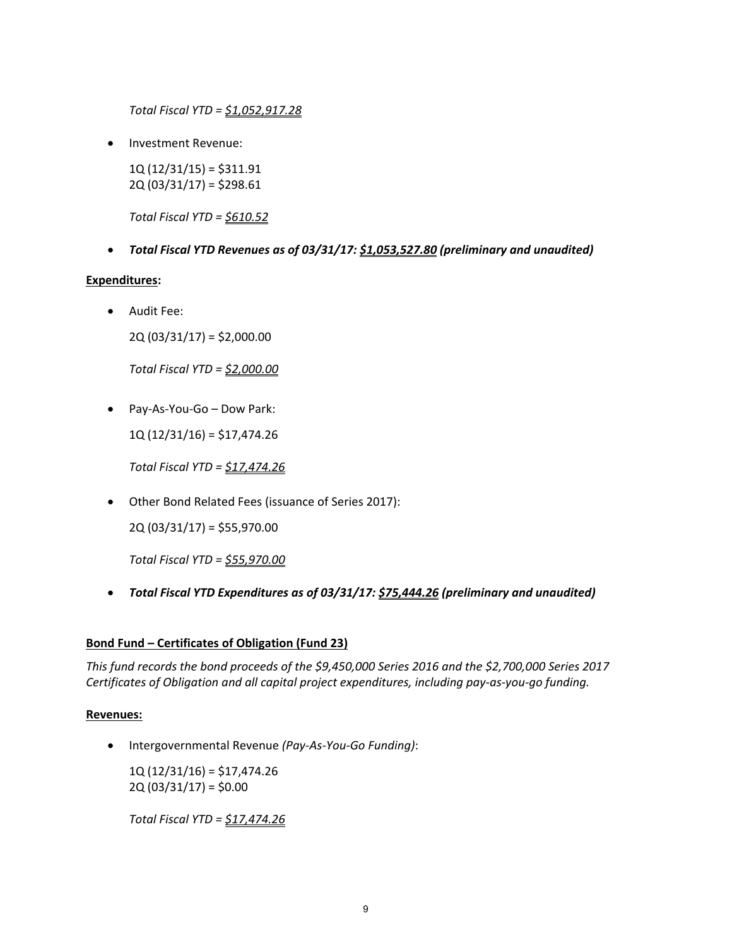*Total Fiscal YTD = \$1,052,917.28*

Investment Revenue:

1Q (12/31/15) = \$311.91 2Q (03/31/17) = \$298.61

*Total Fiscal YTD = \$610.52*

*Total Fiscal YTD Revenues as of 03/31/17: \$1,053,527.80 (preliminary and unaudited)*

#### **Expenditures:**

Audit Fee:

2Q (03/31/17) = \$2,000.00

*Total Fiscal YTD = \$2,000.00*

● Pay-As-You-Go – Dow Park:

1Q (12/31/16) = \$17,474.26

*Total Fiscal YTD = \$17,474.26*

Other Bond Related Fees (issuance of Series 2017):

2Q (03/31/17) = \$55,970.00

*Total Fiscal YTD = \$55,970.00*

*Total Fiscal YTD Expenditures as of 03/31/17: \$75,444.26 (preliminary and unaudited)*

## **Bond Fund – Certificates of Obligation (Fund 23)**

*This fund records the bond proceeds of the \$9,450,000 Series 2016 and the \$2,700,000 Series 2017 Certificates of Obligation and all capital project expenditures, including pay‐as‐you‐go funding.*

## **Revenues:**

Intergovernmental Revenue *(Pay‐As‐You‐Go Funding)*:

 1Q (12/31/16) = \$17,474.26  $2Q(03/31/17) = $0.00$ 

*Total Fiscal YTD = \$17,474.26*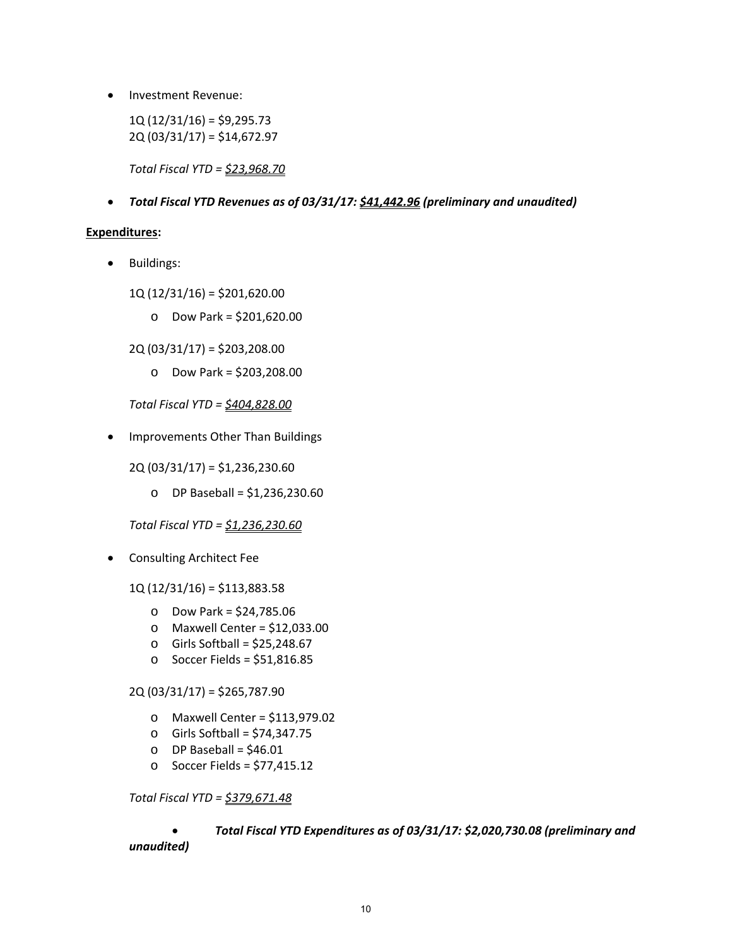• Investment Revenue:

 $1Q(12/31/16) = $9,295.73$ 2Q (03/31/17) = \$14,672.97

*Total Fiscal YTD = \$23,968.70*

*Total Fiscal YTD Revenues as of 03/31/17: \$41,442.96 (preliminary and unaudited)*

#### **Expenditures:**

• Buildings:

1Q (12/31/16) = \$201,620.00

o Dow Park = \$201,620.00

2Q (03/31/17) = \$203,208.00

o Dow Park = \$203,208.00

*Total Fiscal YTD = \$404,828.00*

• Improvements Other Than Buildings

2Q (03/31/17) = \$1,236,230.60

o DP Baseball = \$1,236,230.60

*Total Fiscal YTD = \$1,236,230.60*

Consulting Architect Fee

1Q (12/31/16) = \$113,883.58

- o Dow Park = \$24,785.06
- o Maxwell Center = \$12,033.00
- $\circ$  Girls Softball = \$25,248.67
- o Soccer Fields = \$51,816.85

2Q (03/31/17) = \$265,787.90

- o Maxwell Center = \$113,979.02
- o Girls Softball = \$74,347.75
- $O$  DP Baseball = \$46.01
- o Soccer Fields = \$77,415.12

*Total Fiscal YTD = \$379,671.48*

## *Total Fiscal YTD Expenditures as of 03/31/17: \$2,020,730.08 (preliminary and unaudited)*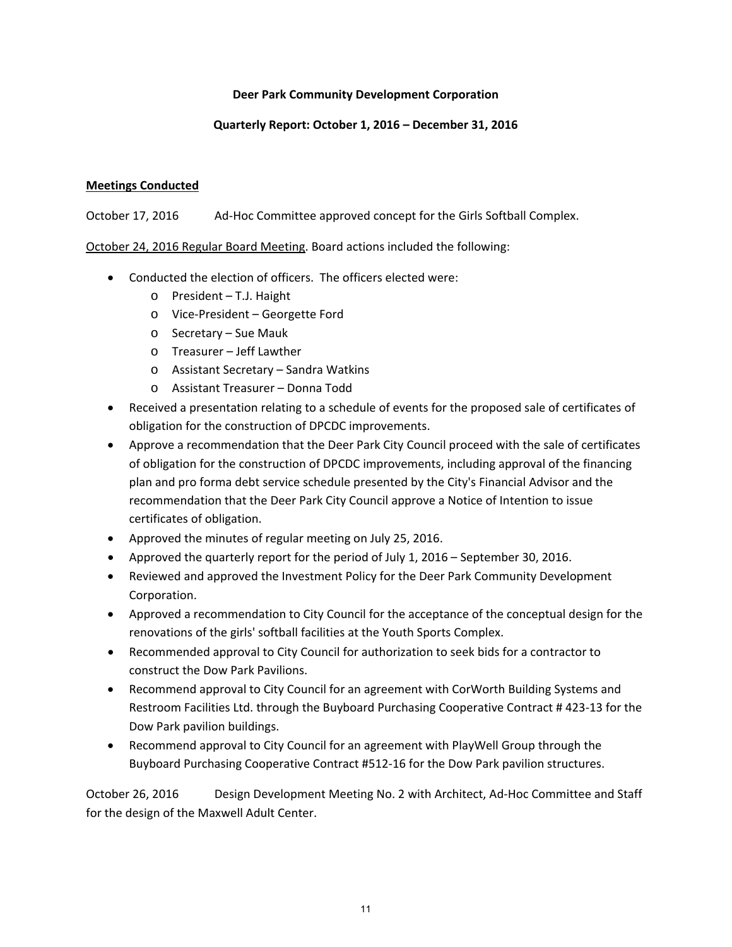## **Deer Park Community Development Corporation**

# **Quarterly Report: October 1, 2016 – December 31, 2016**

# **Meetings Conducted**

October 17, 2016 Ad‐Hoc Committee approved concept for the Girls Softball Complex.

October 24, 2016 Regular Board Meeting. Board actions included the following:

- Conducted the election of officers. The officers elected were:
	- o President T.J. Haight
	- o Vice‐President Georgette Ford
	- o Secretary Sue Mauk
	- o Treasurer Jeff Lawther
	- o Assistant Secretary Sandra Watkins
	- o Assistant Treasurer Donna Todd
- Received a presentation relating to a schedule of events for the proposed sale of certificates of obligation for the construction of DPCDC improvements.
- Approve a recommendation that the Deer Park City Council proceed with the sale of certificates of obligation for the construction of DPCDC improvements, including approval of the financing plan and pro forma debt service schedule presented by the City's Financial Advisor and the recommendation that the Deer Park City Council approve a Notice of Intention to issue certificates of obligation.
- Approved the minutes of regular meeting on July 25, 2016.
- Approved the quarterly report for the period of July 1, 2016 September 30, 2016.
- Reviewed and approved the Investment Policy for the Deer Park Community Development Corporation.
- Approved a recommendation to City Council for the acceptance of the conceptual design for the renovations of the girls' softball facilities at the Youth Sports Complex.
- Recommended approval to City Council for authorization to seek bids for a contractor to construct the Dow Park Pavilions.
- Recommend approval to City Council for an agreement with CorWorth Building Systems and Restroom Facilities Ltd. through the Buyboard Purchasing Cooperative Contract # 423‐13 for the Dow Park pavilion buildings.
- Recommend approval to City Council for an agreement with PlayWell Group through the Buyboard Purchasing Cooperative Contract #512‐16 for the Dow Park pavilion structures.

October 26, 2016 Design Development Meeting No. 2 with Architect, Ad‐Hoc Committee and Staff for the design of the Maxwell Adult Center.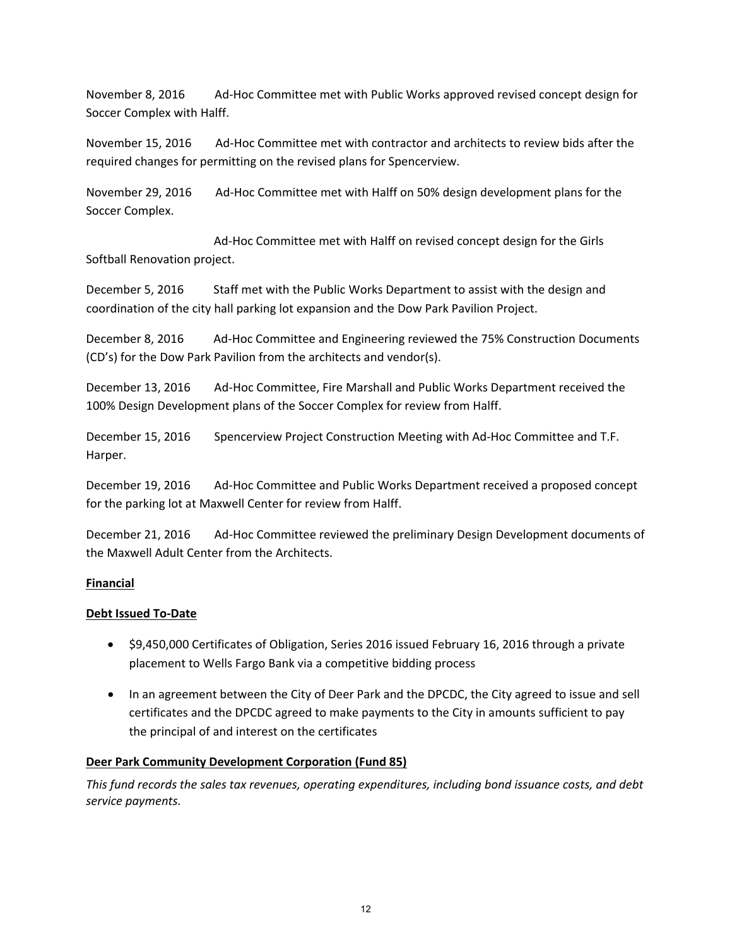November 8, 2016 Ad‐Hoc Committee met with Public Works approved revised concept design for Soccer Complex with Halff.

November 15, 2016 Ad‐Hoc Committee met with contractor and architects to review bids after the required changes for permitting on the revised plans for Spencerview.

November 29, 2016 Ad‐Hoc Committee met with Halff on 50% design development plans for the Soccer Complex.

 Ad‐Hoc Committee met with Halff on revised concept design for the Girls Softball Renovation project.

December 5, 2016 Staff met with the Public Works Department to assist with the design and coordination of the city hall parking lot expansion and the Dow Park Pavilion Project.

December 8, 2016 Ad‐Hoc Committee and Engineering reviewed the 75% Construction Documents (CD's) for the Dow Park Pavilion from the architects and vendor(s).

December 13, 2016 Ad-Hoc Committee, Fire Marshall and Public Works Department received the 100% Design Development plans of the Soccer Complex for review from Halff.

December 15, 2016 Spencerview Project Construction Meeting with Ad‐Hoc Committee and T.F. Harper.

December 19, 2016 Ad-Hoc Committee and Public Works Department received a proposed concept for the parking lot at Maxwell Center for review from Halff.

December 21, 2016 Ad‐Hoc Committee reviewed the preliminary Design Development documents of the Maxwell Adult Center from the Architects.

## **Financial**

## **Debt Issued To‐Date**

- \$9,450,000 Certificates of Obligation, Series 2016 issued February 16, 2016 through a private placement to Wells Fargo Bank via a competitive bidding process
- In an agreement between the City of Deer Park and the DPCDC, the City agreed to issue and sell certificates and the DPCDC agreed to make payments to the City in amounts sufficient to pay the principal of and interest on the certificates

## **Deer Park Community Development Corporation (Fund 85)**

*This fund records the sales tax revenues, operating expenditures, including bond issuance costs, and debt service payments.*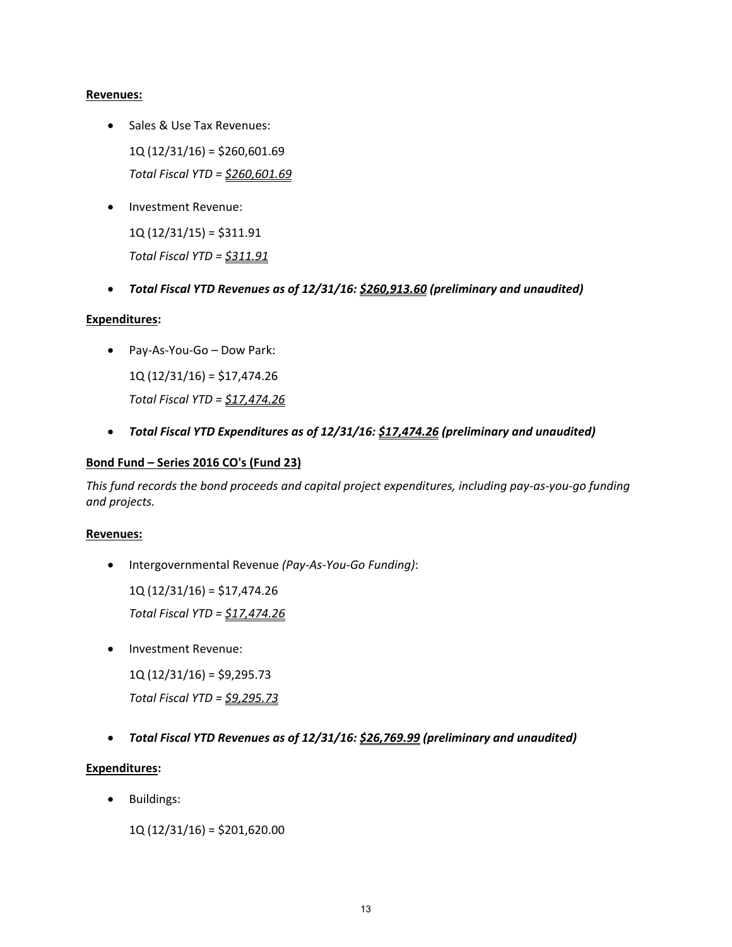#### **Revenues:**

- Sales & Use Tax Revenues: 1Q (12/31/16) = \$260,601.69 *Total Fiscal YTD = \$260,601.69*
- Investment Revenue:

 $1Q(12/31/15) = $311.91$ *Total Fiscal YTD = \$311.91*

*Total Fiscal YTD Revenues as of 12/31/16: \$260,913.60 (preliminary and unaudited)*

## **Expenditures:**

Pay‐As‐You‐Go – Dow Park:

1Q (12/31/16) = \$17,474.26 *Total Fiscal YTD = \$17,474.26*

*Total Fiscal YTD Expenditures as of 12/31/16: \$17,474.26 (preliminary and unaudited)*

## **Bond Fund – Series 2016 CO's (Fund 23)**

This fund records the bond proceeds and capital project expenditures, including pay-as-you-go funding *and projects.*

#### **Revenues:**

Intergovernmental Revenue *(Pay‐As‐You‐Go Funding)*:

1Q (12/31/16) = \$17,474.26

*Total Fiscal YTD = \$17,474.26*

Investment Revenue:

 $1Q(12/31/16) = $9,295.73$ 

*Total Fiscal YTD = \$9,295.73*

*Total Fiscal YTD Revenues as of 12/31/16: \$26,769.99 (preliminary and unaudited)*

## **Expenditures:**

Buildings:

1Q (12/31/16) = \$201,620.00